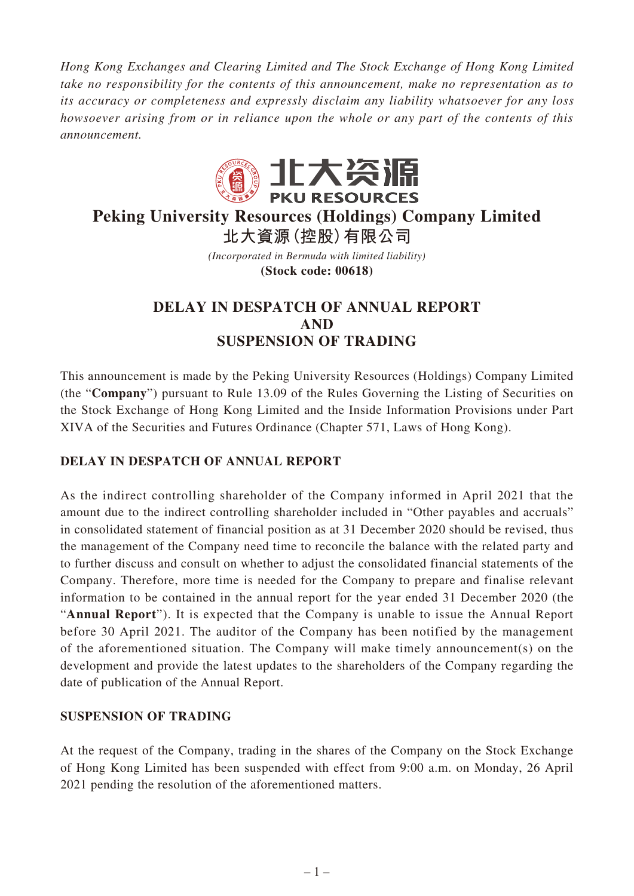*Hong Kong Exchanges and Clearing Limited and The Stock Exchange of Hong Kong Limited take no responsibility for the contents of this announcement, make no representation as to its accuracy or completeness and expressly disclaim any liability whatsoever for any loss howsoever arising from or in reliance upon the whole or any part of the contents of this announcement.*



# **Peking University Resources (Holdings) Company Limited 北大資源(控股)有限公司**

*(Incorporated in Bermuda with limited liability)* **(Stock code: 00618)**

## **DELAY IN DESPATCH OF ANNUAL REPORT AND SUSPENSION OF TRADING**

This announcement is made by the Peking University Resources (Holdings) Company Limited (the "**Company**") pursuant to Rule 13.09 of the Rules Governing the Listing of Securities on the Stock Exchange of Hong Kong Limited and the Inside Information Provisions under Part XIVA of the Securities and Futures Ordinance (Chapter 571, Laws of Hong Kong).

## **DELAY IN DESPATCH OF ANNUAL REPORT**

As the indirect controlling shareholder of the Company informed in April 2021 that the amount due to the indirect controlling shareholder included in "Other payables and accruals" in consolidated statement of financial position as at 31 December 2020 should be revised, thus the management of the Company need time to reconcile the balance with the related party and to further discuss and consult on whether to adjust the consolidated financial statements of the Company. Therefore, more time is needed for the Company to prepare and finalise relevant information to be contained in the annual report for the year ended 31 December 2020 (the "**Annual Report**"). It is expected that the Company is unable to issue the Annual Report before 30 April 2021. The auditor of the Company has been notified by the management of the aforementioned situation. The Company will make timely announcement(s) on the development and provide the latest updates to the shareholders of the Company regarding the date of publication of the Annual Report.

#### **SUSPENSION OF TRADING**

At the request of the Company, trading in the shares of the Company on the Stock Exchange of Hong Kong Limited has been suspended with effect from 9:00 a.m. on Monday, 26 April 2021 pending the resolution of the aforementioned matters.